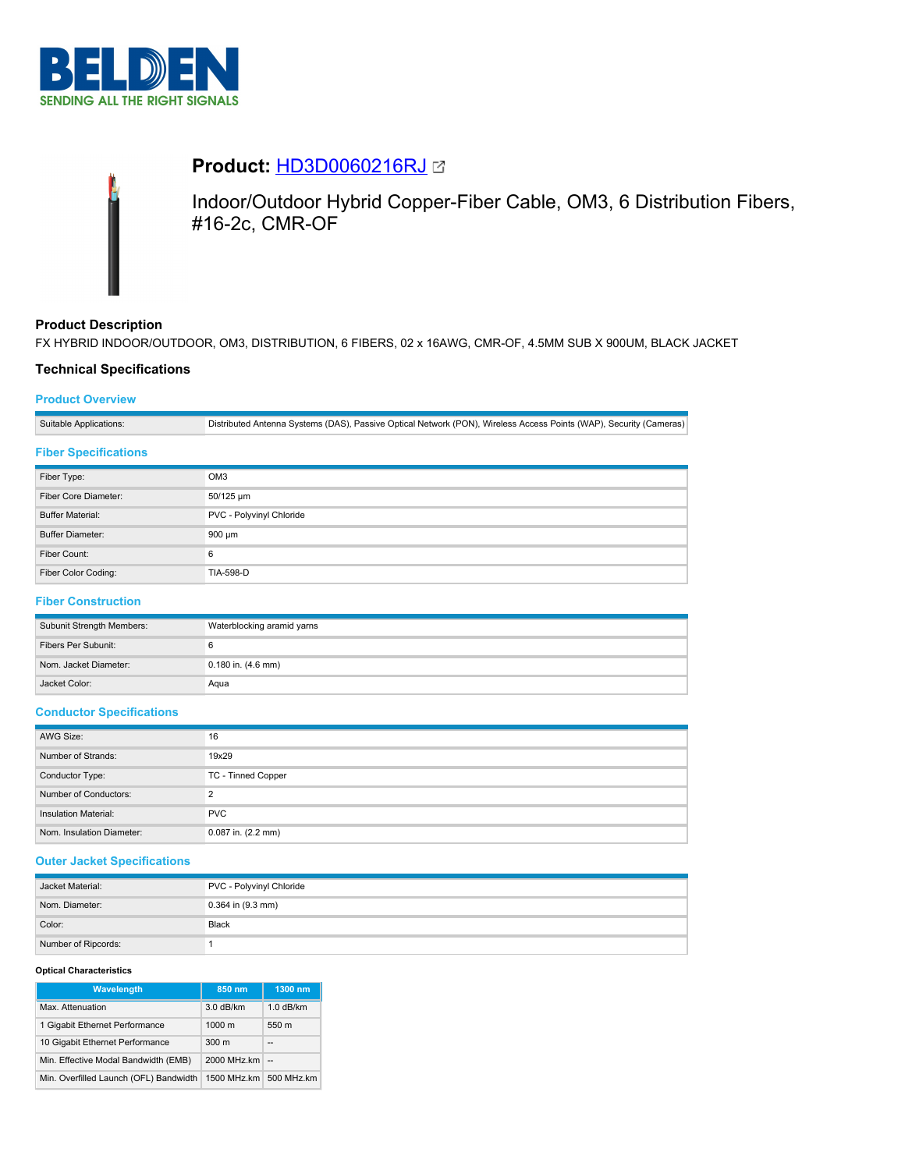



# **Product:** [HD3D0060216RJ](https://catalog.belden.com/index.cfm?event=pd&p=PF_HD3D0060216RJ&tab=downloads)

Indoor/Outdoor Hybrid Copper-Fiber Cable, OM3, 6 Distribution Fibers, #16-2c, CMR-OF

## **Product Description**

FX HYBRID INDOOR/OUTDOOR, OM3, DISTRIBUTION, 6 FIBERS, 02 x 16AWG, CMR-OF, 4.5MM SUB X 900UM, BLACK JACKET

## **Technical Specifications**

## **Product Overview**

Suitable Applications: Distributed Antenna Systems (DAS), Passive Optical Network (PON), Wireless Access Points (WAP), Security (Cameras)

## **Fiber Specifications**

| Fiber Type:             | OM <sub>3</sub>          |
|-------------------------|--------------------------|
| Fiber Core Diameter:    | 50/125 um                |
| <b>Buffer Material:</b> | PVC - Polyvinyl Chloride |
| <b>Buffer Diameter:</b> | 900 µm                   |
| Fiber Count:            | 6                        |
| Fiber Color Coding:     | <b>TIA-598-D</b>         |

# **Fiber Construction**

| Subunit Strength Members: | Waterblocking aramid yarns |
|---------------------------|----------------------------|
| Fibers Per Subunit:       |                            |
| Nom. Jacket Diameter:     | $0.180$ in. $(4.6$ mm)     |
| Jacket Color:             | Aqua                       |

## **Conductor Specifications**

| AWG Size:                 | 16                     |
|---------------------------|------------------------|
| Number of Strands:        | 19x29                  |
| Conductor Type:           | TC - Tinned Copper     |
| Number of Conductors:     | っ                      |
| Insulation Material:      | <b>PVC</b>             |
| Nom. Insulation Diameter: | $0.087$ in. $(2.2$ mm) |

## **Outer Jacket Specifications**

| Jacket Material:    | PVC - Polyvinyl Chloride |
|---------------------|--------------------------|
| Nom. Diameter:      | $0.364$ in $(9.3$ mm)    |
| Color:              | Black                    |
| Number of Ripcords: |                          |

#### **Optical Characteristics**

| <b>Wavelength</b>                      | 850 nm           | 1300 nm     |
|----------------------------------------|------------------|-------------|
| Max. Attenuation                       | 3.0 dB/km        | $1.0$ dB/km |
| 1 Gigabit Ethernet Performance         | $1000 \text{ m}$ | 550 m       |
| 10 Gigabit Ethernet Performance        | 300 <sub>m</sub> | --          |
| Min. Effective Modal Bandwidth (EMB)   | 2000 MHz.km      | $\sim$      |
| Min. Overfilled Launch (OFL) Bandwidth | 1500 MHz.km      | 500 MHz.km  |